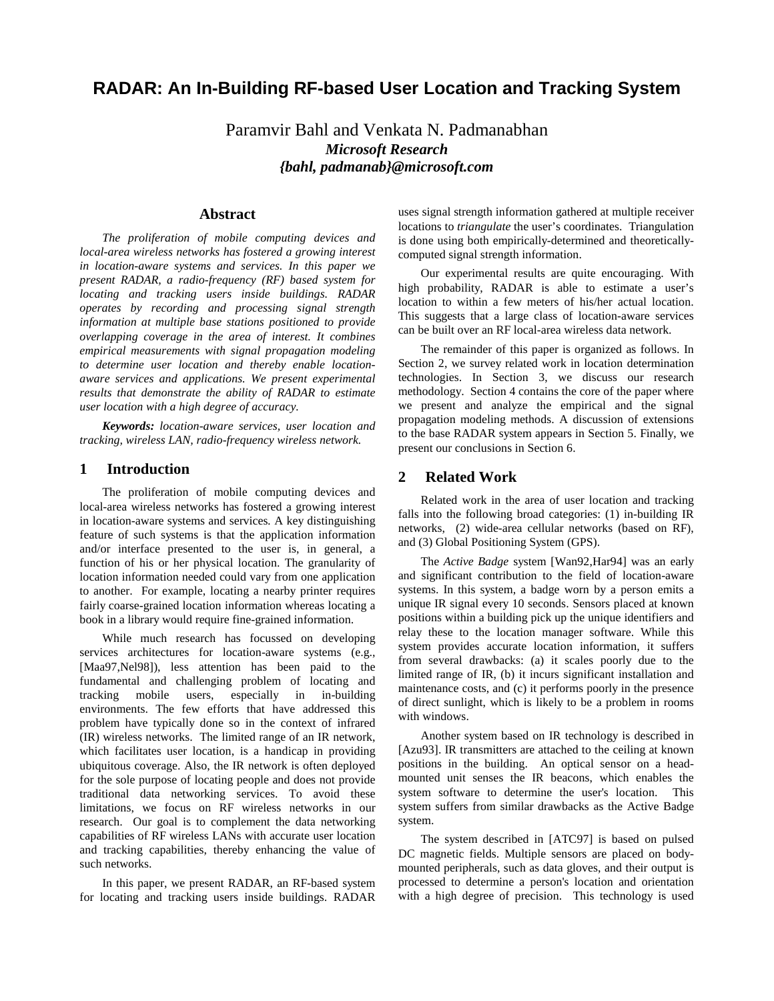# **RADAR: An In-Building RF-based User Location and Tracking System**

Paramvir Bahl and Venkata N. Padmanabhan *Microsoft Research {bahl, padmanab}@microsoft.com*

## **Abstract**

*The proliferation of mobile computing devices and local-area wireless networks has fostered a growing interest in location-aware systems and services. In this paper we present RADAR, a radio-frequency (RF) based system for locating and tracking users inside buildings. RADAR operates by recording and processing signal strength information at multiple base stations positioned to provide overlapping coverage in the area of interest. It combines empirical measurements with signal propagation modeling to determine user location and thereby enable locationaware services and applications. We present experimental results that demonstrate the ability of RADAR to estimate user location with a high degree of accuracy.*

*Keywords: location-aware services, user location and tracking, wireless LAN, radio-frequency wireless network.*

## **1 Introduction**

The proliferation of mobile computing devices and local-area wireless networks has fostered a growing interest in location-aware systems and services*.* A key distinguishing feature of such systems is that the application information and/or interface presented to the user is, in general, a function of his or her physical location. The granularity of location information needed could vary from one application to another. For example, locating a nearby printer requires fairly coarse-grained location information whereas locating a book in a library would require fine-grained information.

While much research has focussed on developing services architectures for location-aware systems (e.g., [Maa97,Nel98]), less attention has been paid to the fundamental and challenging problem of locating and tracking mobile users, especially in in-building environments. The few efforts that have addressed this problem have typically done so in the context of infrared (IR) wireless networks. The limited range of an IR network, which facilitates user location, is a handicap in providing ubiquitous coverage. Also, the IR network is often deployed for the sole purpose of locating people and does not provide traditional data networking services. To avoid these limitations, we focus on RF wireless networks in our research. Our goal is to complement the data networking capabilities of RF wireless LANs with accurate user location and tracking capabilities, thereby enhancing the value of such networks.

In this paper, we present RADAR, an RF-based system for locating and tracking users inside buildings. RADAR uses signal strength information gathered at multiple receiver locations to *triangulate* the user's coordinates. Triangulation is done using both empirically-determined and theoreticallycomputed signal strength information.

Our experimental results are quite encouraging. With high probability, RADAR is able to estimate a user's location to within a few meters of his/her actual location. This suggests that a large class of location-aware services can be built over an RF local-area wireless data network.

The remainder of this paper is organized as follows. In Section 2, we survey related work in location determination technologies. In Section 3, we discuss our research methodology. Section 4 contains the core of the paper where we present and analyze the empirical and the signal propagation modeling methods. A discussion of extensions to the base RADAR system appears in Section 5. Finally, we present our conclusions in Section 6.

## **2 Related Work**

Related work in the area of user location and tracking falls into the following broad categories: (1) in-building IR networks, (2) wide-area cellular networks (based on RF), and (3) Global Positioning System (GPS).

The *Active Badge* system [Wan92,Har94] was an early and significant contribution to the field of location-aware systems. In this system, a badge worn by a person emits a unique IR signal every 10 seconds. Sensors placed at known positions within a building pick up the unique identifiers and relay these to the location manager software. While this system provides accurate location information, it suffers from several drawbacks: (a) it scales poorly due to the limited range of IR, (b) it incurs significant installation and maintenance costs, and (c) it performs poorly in the presence of direct sunlight, which is likely to be a problem in rooms with windows.

Another system based on IR technology is described in [Azu93]. IR transmitters are attached to the ceiling at known positions in the building. An optical sensor on a headmounted unit senses the IR beacons, which enables the system software to determine the user's location. This system suffers from similar drawbacks as the Active Badge system.

The system described in [ATC97] is based on pulsed DC magnetic fields. Multiple sensors are placed on bodymounted peripherals, such as data gloves, and their output is processed to determine a person's location and orientation with a high degree of precision. This technology is used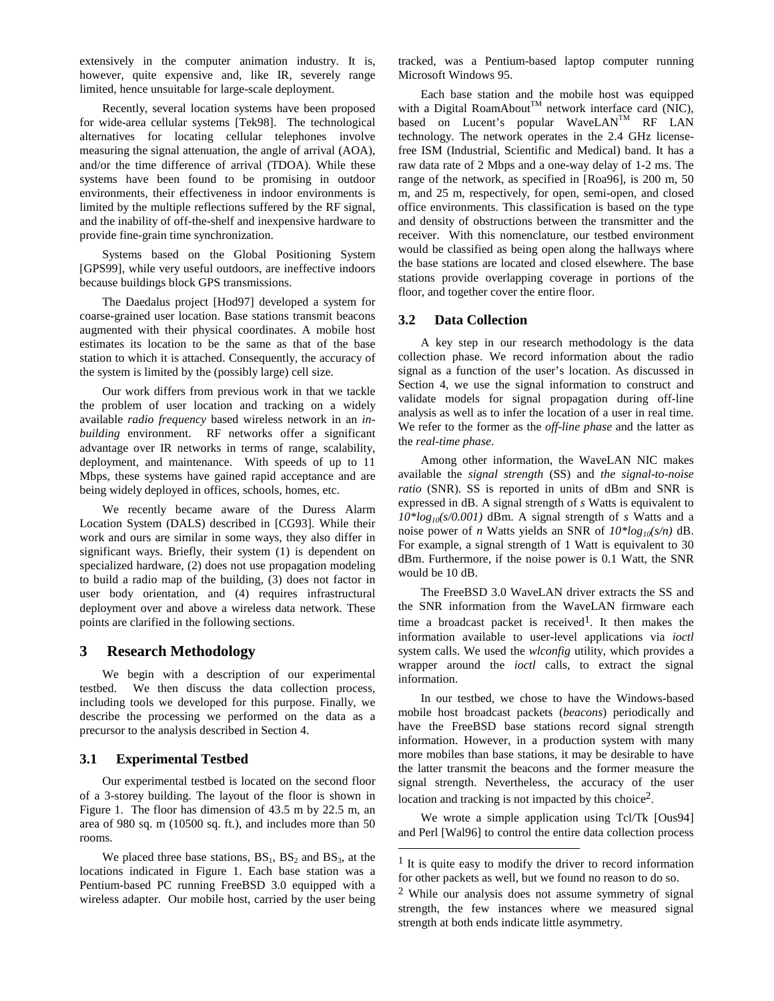extensively in the computer animation industry. It is, however, quite expensive and, like IR, severely range limited, hence unsuitable for large-scale deployment.

Recently, several location systems have been proposed for wide-area cellular systems [Tek98]. The technological alternatives for locating cellular telephones involve measuring the signal attenuation, the angle of arrival (AOA), and/or the time difference of arrival (TDOA). While these systems have been found to be promising in outdoor environments, their effectiveness in indoor environments is limited by the multiple reflections suffered by the RF signal, and the inability of off-the-shelf and inexpensive hardware to provide fine-grain time synchronization.

Systems based on the Global Positioning System [GPS99], while very useful outdoors, are ineffective indoors because buildings block GPS transmissions.

The Daedalus project [Hod97] developed a system for coarse-grained user location. Base stations transmit beacons augmented with their physical coordinates. A mobile host estimates its location to be the same as that of the base station to which it is attached. Consequently, the accuracy of the system is limited by the (possibly large) cell size.

Our work differs from previous work in that we tackle the problem of user location and tracking on a widely available *radio frequency* based wireless network in an *inbuilding* environment. RF networks offer a significant advantage over IR networks in terms of range, scalability, deployment, and maintenance. With speeds of up to 11 Mbps, these systems have gained rapid acceptance and are being widely deployed in offices, schools, homes, etc.

We recently became aware of the Duress Alarm Location System (DALS) described in [CG93]. While their work and ours are similar in some ways, they also differ in significant ways. Briefly, their system (1) is dependent on specialized hardware, (2) does not use propagation modeling to build a radio map of the building, (3) does not factor in user body orientation, and (4) requires infrastructural deployment over and above a wireless data network. These points are clarified in the following sections.

## **3 Research Methodology**

We begin with a description of our experimental testbed. We then discuss the data collection process, including tools we developed for this purpose. Finally, we describe the processing we performed on the data as a precursor to the analysis described in Section 4.

## **3.1 Experimental Testbed**

Our experimental testbed is located on the second floor of a 3-storey building. The layout of the floor is shown in Figure 1. The floor has dimension of 43.5 m by 22.5 m, an area of 980 sq. m (10500 sq. ft.), and includes more than 50 rooms.

We placed three base stations,  $BS_1$ ,  $BS_2$  and  $BS_3$ , at the locations indicated in Figure 1. Each base station was a Pentium-based PC running FreeBSD 3.0 equipped with a wireless adapter. Our mobile host, carried by the user being tracked, was a Pentium-based laptop computer running Microsoft Windows 95.

Each base station and the mobile host was equipped with a Digital RoamAbout<sup>TM</sup> network interface card (NIC), based on Lucent's popular WaveLAN<sup>TM</sup> RF LAN technology. The network operates in the 2.4 GHz licensefree ISM (Industrial, Scientific and Medical) band. It has a raw data rate of 2 Mbps and a one-way delay of 1-2 ms. The range of the network, as specified in [Roa96], is 200 m, 50 m, and 25 m, respectively, for open, semi-open, and closed office environments. This classification is based on the type and density of obstructions between the transmitter and the receiver. With this nomenclature, our testbed environment would be classified as being open along the hallways where the base stations are located and closed elsewhere. The base stations provide overlapping coverage in portions of the floor, and together cover the entire floor.

### **3.2 Data Collection**

A key step in our research methodology is the data collection phase. We record information about the radio signal as a function of the user's location. As discussed in Section 4, we use the signal information to construct and validate models for signal propagation during off-line analysis as well as to infer the location of a user in real time. We refer to the former as the *off-line phase* and the latter as the *real-time phase*.

Among other information, the WaveLAN NIC makes available the *signal strength* (SS) and *the signal-to-noise ratio* (SNR). SS is reported in units of dBm and SNR is expressed in dB. A signal strength of *s* Watts is equivalent to *10\*log10(s/0.001)* dBm. A signal strength of *s* Watts and a noise power of *n* Watts yields an SNR of  $10*log_{10}(s/n)$  dB. For example, a signal strength of 1 Watt is equivalent to 30 dBm. Furthermore, if the noise power is 0.1 Watt, the SNR would be 10 dB.

The FreeBSD 3.0 WaveLAN driver extracts the SS and the SNR information from the WaveLAN firmware each time a broadcast packet is received<sup>1</sup>. It then makes the information available to user-level applications via *ioctl* system calls. We used the *wlconfig* utility, which provides a wrapper around the *ioctl* calls, to extract the signal information.

In our testbed, we chose to have the Windows-based mobile host broadcast packets (*beacons*) periodically and have the FreeBSD base stations record signal strength information. However, in a production system with many more mobiles than base stations, it may be desirable to have the latter transmit the beacons and the former measure the signal strength. Nevertheless, the accuracy of the user location and tracking is not impacted by this choice<sup>2</sup>.

We wrote a simple application using Tcl/Tk [Ous94] and Perl [Wal96] to control the entire data collection process

 $\overline{a}$ 

<sup>&</sup>lt;sup>1</sup> It is quite easy to modify the driver to record information for other packets as well, but we found no reason to do so.

<sup>2</sup> While our analysis does not assume symmetry of signal strength, the few instances where we measured signal strength at both ends indicate little asymmetry.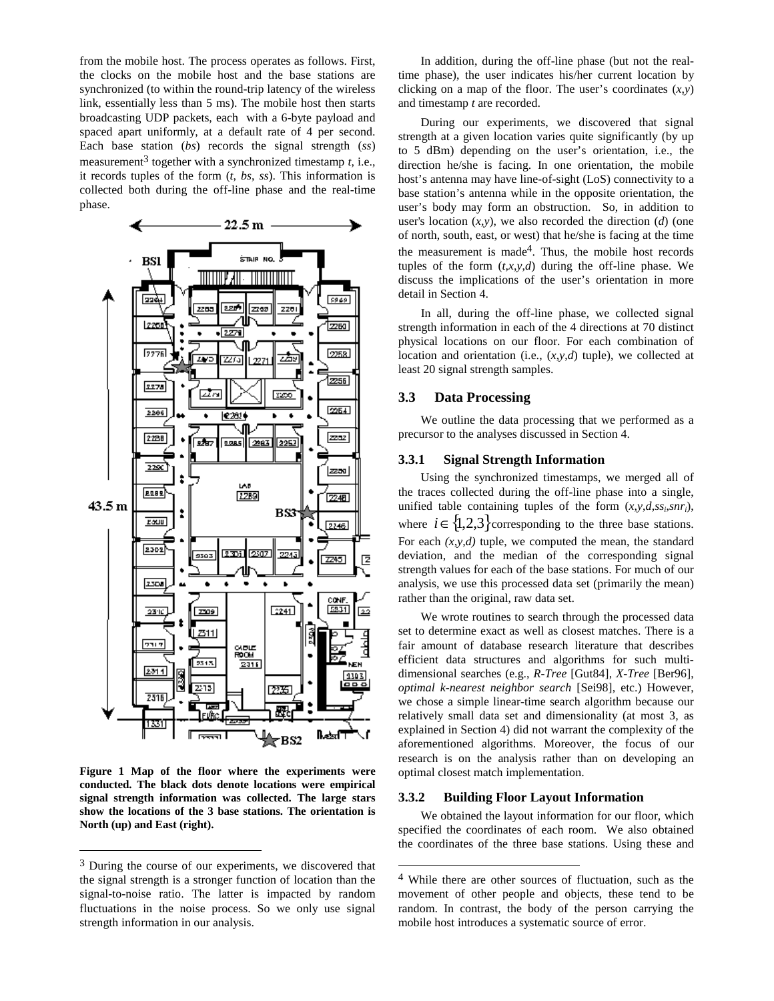from the mobile host. The process operates as follows. First, the clocks on the mobile host and the base stations are synchronized (to within the round-trip latency of the wireless link, essentially less than 5 ms). The mobile host then starts broadcasting UDP packets, each with a 6-byte payload and spaced apart uniformly, at a default rate of 4 per second. Each base station (*bs*) records the signal strength (*ss*) measurement<sup>3</sup> together with a synchronized timestamp  $t$ , i.e., it records tuples of the form (*t*, *bs*, *ss*). This information is collected both during the off-line phase and the real-time phase.



**Figure 1 Map of the floor where the experiments were conducted. The black dots denote locations were empirical signal strength information was collected. The large stars show the locations of the 3 base stations. The orientation is North (up) and East (right).**

 $\overline{a}$ 

In addition, during the off-line phase (but not the realtime phase), the user indicates his/her current location by clicking on a map of the floor. The user's coordinates  $(x, y)$ and timestamp *t* are recorded.

During our experiments, we discovered that signal strength at a given location varies quite significantly (by up to 5 dBm) depending on the user's orientation, i.e., the direction he/she is facing. In one orientation, the mobile host's antenna may have line-of-sight (LoS) connectivity to a base station's antenna while in the opposite orientation, the user's body may form an obstruction. So, in addition to user's location  $(x, y)$ , we also recorded the direction  $(d)$  (one of north, south, east, or west) that he/she is facing at the time the measurement is made<sup>4</sup>. Thus, the mobile host records tuples of the form  $(t, x, y, d)$  during the off-line phase. We discuss the implications of the user's orientation in more detail in Section 4.

In all, during the off-line phase, we collected signal strength information in each of the 4 directions at 70 distinct physical locations on our floor. For each combination of location and orientation (i.e., (*x*,*y*,*d*) tuple), we collected at least 20 signal strength samples.

### **3.3 Data Processing**

We outline the data processing that we performed as a precursor to the analyses discussed in Section 4.

#### **3.3.1 Signal Strength Information**

Using the synchronized timestamps, we merged all of the traces collected during the off-line phase into a single, unified table containing tuples of the form  $(x, y, d, ss_i, snr_i)$ , where  $i \in \{1,2,3\}$  corresponding to the three base stations. For each *(x,y,d)* tuple, we computed the mean, the standard deviation, and the median of the corresponding signal strength values for each of the base stations. For much of our analysis, we use this processed data set (primarily the mean) rather than the original, raw data set.

We wrote routines to search through the processed data set to determine exact as well as closest matches. There is a fair amount of database research literature that describes efficient data structures and algorithms for such multidimensional searches (e.g., *R-Tree* [Gut84], *X-Tree* [Ber96], *optimal k-nearest neighbor search* [Sei98], etc.) However, we chose a simple linear-time search algorithm because our relatively small data set and dimensionality (at most 3, as explained in Section 4) did not warrant the complexity of the aforementioned algorithms. Moreover, the focus of our research is on the analysis rather than on developing an optimal closest match implementation.

#### **3.3.2 Building Floor Layout Information**

 $\overline{a}$ 

We obtained the layout information for our floor, which specified the coordinates of each room. We also obtained the coordinates of the three base stations. Using these and

<sup>&</sup>lt;sup>3</sup> During the course of our experiments, we discovered that the signal strength is a stronger function of location than the signal-to-noise ratio. The latter is impacted by random fluctuations in the noise process. So we only use signal strength information in our analysis.

<sup>4</sup> While there are other sources of fluctuation, such as the movement of other people and objects, these tend to be random. In contrast, the body of the person carrying the mobile host introduces a systematic source of error.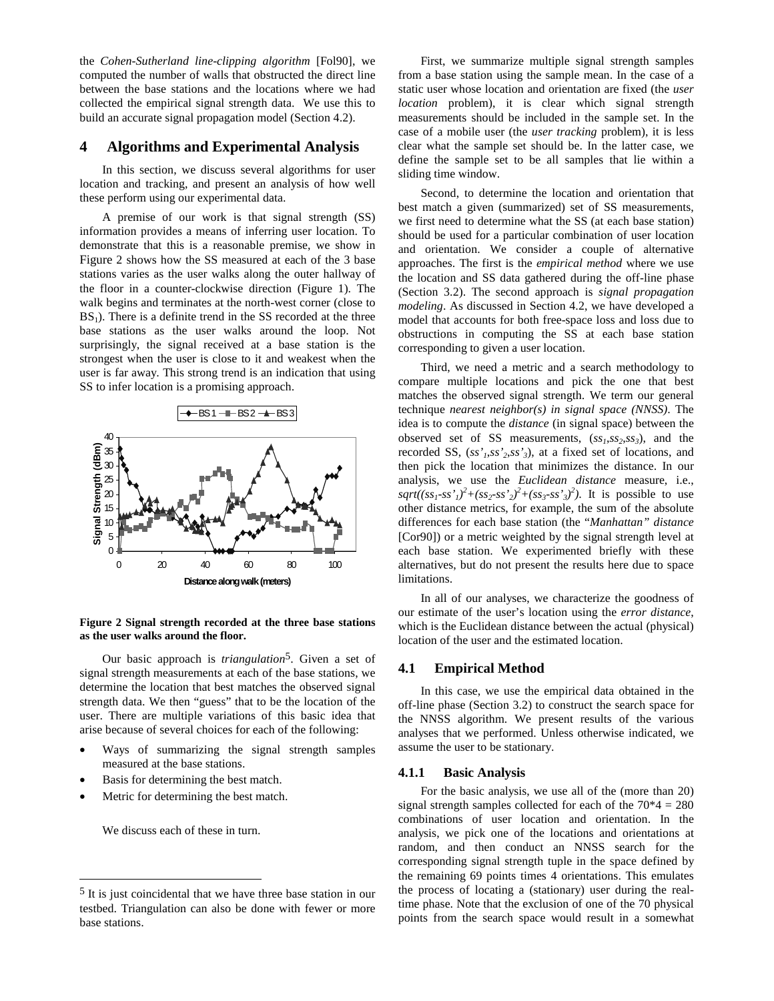the *Cohen-Sutherland line-clipping algorithm* [Fol90], we computed the number of walls that obstructed the direct line between the base stations and the locations where we had collected the empirical signal strength data. We use this to build an accurate signal propagation model (Section 4.2).

## **4 Algorithms and Experimental Analysis**

In this section, we discuss several algorithms for user location and tracking, and present an analysis of how well these perform using our experimental data.

A premise of our work is that signal strength (SS) information provides a means of inferring user location. To demonstrate that this is a reasonable premise, we show in Figure 2 shows how the SS measured at each of the 3 base stations varies as the user walks along the outer hallway of the floor in a counter-clockwise direction (Figure 1). The walk begins and terminates at the north-west corner (close to  $BS<sub>1</sub>$ ). There is a definite trend in the SS recorded at the three base stations as the user walks around the loop. Not surprisingly, the signal received at a base station is the strongest when the user is close to it and weakest when the user is far away. This strong trend is an indication that using SS to infer location is a promising approach.



**Figure 2 Signal strength recorded at the three base stations as the user walks around the floor.**

Our basic approach is *triangulation*5. Given a set of signal strength measurements at each of the base stations, we determine the location that best matches the observed signal strength data. We then "guess" that to be the location of the user. There are multiple variations of this basic idea that arise because of several choices for each of the following:

- Ways of summarizing the signal strength samples measured at the base stations.
- Basis for determining the best match.
- Metric for determining the best match.

We discuss each of these in turn.

 $\overline{a}$ 

First, we summarize multiple signal strength samples from a base station using the sample mean. In the case of a static user whose location and orientation are fixed (the *user location* problem), it is clear which signal strength measurements should be included in the sample set. In the case of a mobile user (the *user tracking* problem), it is less clear what the sample set should be. In the latter case, we define the sample set to be all samples that lie within a sliding time window.

Second, to determine the location and orientation that best match a given (summarized) set of SS measurements, we first need to determine what the SS (at each base station) should be used for a particular combination of user location and orientation. We consider a couple of alternative approaches. The first is the *empirical method* where we use the location and SS data gathered during the off-line phase (Section 3.2). The second approach is *signal propagation modeling*. As discussed in Section 4.2, we have developed a model that accounts for both free-space loss and loss due to obstructions in computing the SS at each base station corresponding to given a user location.

Third, we need a metric and a search methodology to compare multiple locations and pick the one that best matches the observed signal strength. We term our general technique *nearest neighbor(s) in signal space (NNSS)*. The idea is to compute the *distance* (in signal space) between the observed set of SS measurements,  $(s<sub>1</sub>, s<sub>2</sub>, s<sub>3</sub>)$ , and the recorded SS,  $(ss'_{1},ss'_{2},ss'_{3})$ , at a fixed set of locations, and then pick the location that minimizes the distance. In our analysis, we use the *Euclidean distance* measure, i.e.,  $sqrt((ss_1-ss'_1)^2 + (ss_2-ss'_2)^2 + (ss_3-ss'_3)^2)$ . It is possible to use other distance metrics, for example, the sum of the absolute differences for each base station (the "*Manhattan" distance* [Cor90]) or a metric weighted by the signal strength level at each base station. We experimented briefly with these alternatives, but do not present the results here due to space limitations.

In all of our analyses, we characterize the goodness of our estimate of the user's location using the *error distance*, which is the Euclidean distance between the actual (physical) location of the user and the estimated location.

#### **4.1 Empirical Method**

In this case, we use the empirical data obtained in the off-line phase (Section 3.2) to construct the search space for the NNSS algorithm. We present results of the various analyses that we performed. Unless otherwise indicated, we assume the user to be stationary.

#### **4.1.1 Basic Analysis**

For the basic analysis, we use all of the (more than 20) signal strength samples collected for each of the  $70*4 = 280$ combinations of user location and orientation. In the analysis, we pick one of the locations and orientations at random, and then conduct an NNSS search for the corresponding signal strength tuple in the space defined by the remaining 69 points times 4 orientations. This emulates the process of locating a (stationary) user during the realtime phase. Note that the exclusion of one of the 70 physical points from the search space would result in a somewhat

 $<sup>5</sup>$  It is just coincidental that we have three base station in our</sup> testbed. Triangulation can also be done with fewer or more base stations.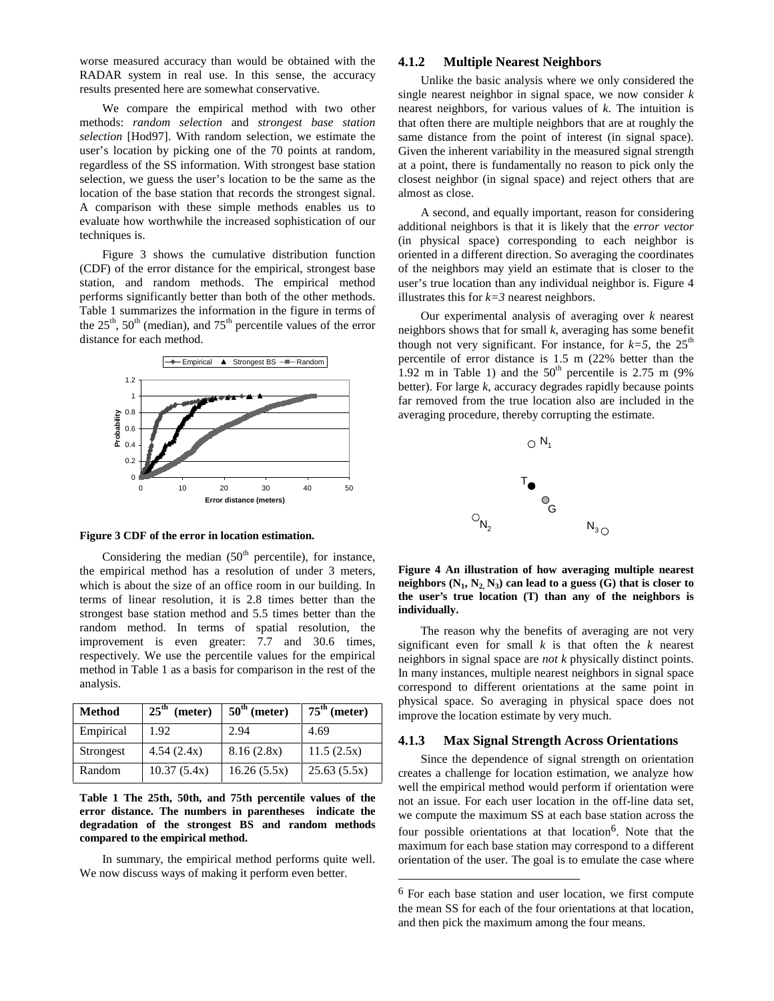worse measured accuracy than would be obtained with the RADAR system in real use. In this sense, the accuracy results presented here are somewhat conservative.

We compare the empirical method with two other methods: *random selection* and *strongest base station selection* [Hod97]. With random selection, we estimate the user's location by picking one of the 70 points at random, regardless of the SS information. With strongest base station selection, we guess the user's location to be the same as the location of the base station that records the strongest signal. A comparison with these simple methods enables us to evaluate how worthwhile the increased sophistication of our techniques is.

Figure 3 shows the cumulative distribution function (CDF) of the error distance for the empirical, strongest base station, and random methods. The empirical method performs significantly better than both of the other methods. Table 1 summarizes the information in the figure in terms of the  $25<sup>th</sup>$ ,  $50<sup>th</sup>$  (median), and  $75<sup>th</sup>$  percentile values of the error distance for each method.



**Figure 3 CDF of the error in location estimation.**

Considering the median  $(50<sup>th</sup>$  percentile), for instance, the empirical method has a resolution of under 3 meters, which is about the size of an office room in our building. In terms of linear resolution, it is 2.8 times better than the strongest base station method and 5.5 times better than the random method. In terms of spatial resolution, the improvement is even greater: 7.7 and 30.6 times, respectively. We use the percentile values for the empirical method in Table 1 as a basis for comparison in the rest of the analysis.

| Method           | $25th$ (meter) | $50^{\text{th}}$ (meter) | $75th$ (meter) |
|------------------|----------------|--------------------------|----------------|
| Empirical        | 1.92           | 2.94                     | 4.69           |
| <b>Strongest</b> | 4.54(2.4x)     | 8.16(2.8x)               | 11.5(2.5x)     |
| Random           | 10.37(5.4x)    | 16.26(5.5x)              | 25.63(5.5x)    |

**Table 1 The 25th, 50th, and 75th percentile values of the error distance. The numbers in parentheses indicate the degradation of the strongest BS and random methods compared to the empirical method.**

In summary, the empirical method performs quite well. We now discuss ways of making it perform even better.

#### **4.1.2 Multiple Nearest Neighbors**

Unlike the basic analysis where we only considered the single nearest neighbor in signal space, we now consider *k* nearest neighbors, for various values of *k*. The intuition is that often there are multiple neighbors that are at roughly the same distance from the point of interest (in signal space). Given the inherent variability in the measured signal strength at a point, there is fundamentally no reason to pick only the closest neighbor (in signal space) and reject others that are almost as close.

A second, and equally important, reason for considering additional neighbors is that it is likely that the *error vector* (in physical space) corresponding to each neighbor is oriented in a different direction. So averaging the coordinates of the neighbors may yield an estimate that is closer to the user's true location than any individual neighbor is. Figure 4 illustrates this for  $k=3$  nearest neighbors.

Our experimental analysis of averaging over *k* nearest neighbors shows that for small *k*, averaging has some benefit though not very significant. For instance, for  $k=5$ , the  $25<sup>th</sup>$ percentile of error distance is 1.5 m (22% better than the 1.92 m in Table 1) and the  $50<sup>th</sup>$  percentile is 2.75 m (9%) better). For large *k*, accuracy degrades rapidly because points far removed from the true location also are included in the averaging procedure, thereby corrupting the estimate.



**Figure 4 An illustration of how averaging multiple nearest** neighbors  $(N_1, N_2, N_3)$  can lead to a guess  $(G)$  that is closer to **the user's true location (T) than any of the neighbors is individually.**

The reason why the benefits of averaging are not very significant even for small *k* is that often the *k* nearest neighbors in signal space are *not k* physically distinct points. In many instances, multiple nearest neighbors in signal space correspond to different orientations at the same point in physical space. So averaging in physical space does not improve the location estimate by very much.

### **4.1.3 Max Signal Strength Across Orientations**

Since the dependence of signal strength on orientation creates a challenge for location estimation, we analyze how well the empirical method would perform if orientation were not an issue. For each user location in the off-line data set, we compute the maximum SS at each base station across the four possible orientations at that location $6$ . Note that the maximum for each base station may correspond to a different orientation of the user. The goal is to emulate the case where

 $\overline{a}$ 

<sup>6</sup> For each base station and user location, we first compute the mean SS for each of the four orientations at that location, and then pick the maximum among the four means.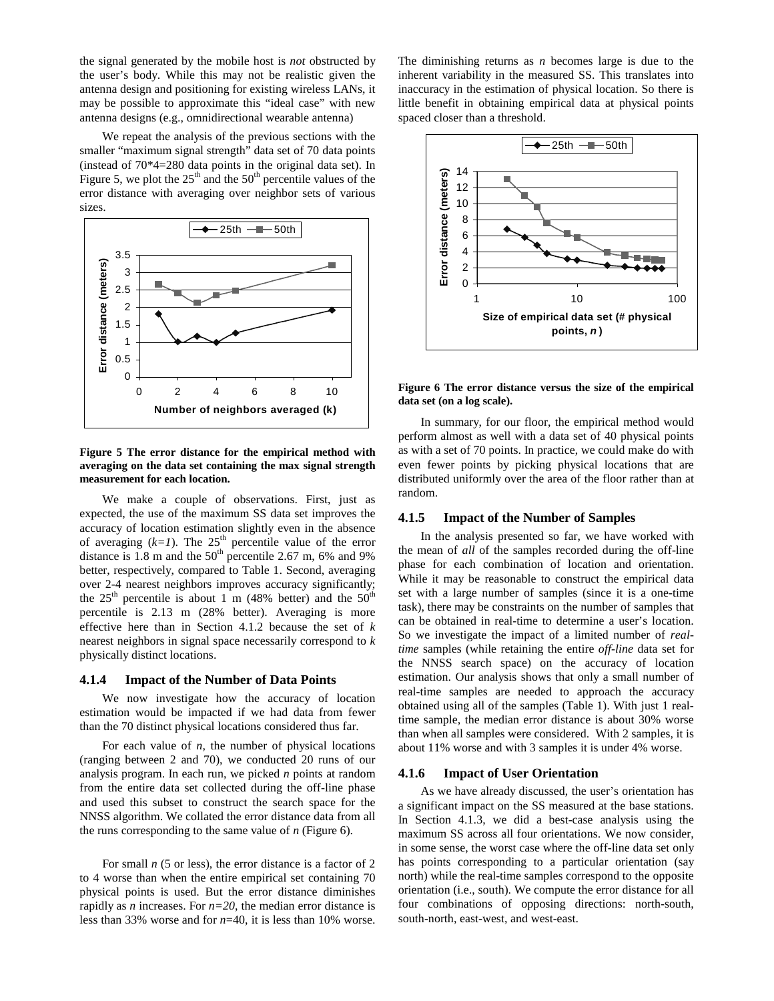the signal generated by the mobile host is *not* obstructed by the user's body. While this may not be realistic given the antenna design and positioning for existing wireless LANs, it may be possible to approximate this "ideal case" with new antenna designs (e.g., omnidirectional wearable antenna)

We repeat the analysis of the previous sections with the smaller "maximum signal strength" data set of 70 data points (instead of 70\*4=280 data points in the original data set). In Figure 5, we plot the  $25<sup>th</sup>$  and the  $50<sup>th</sup>$  percentile values of the error distance with averaging over neighbor sets of various sizes.



**Figure 5 The error distance for the empirical method with averaging on the data set containing the max signal strength measurement for each location.**

We make a couple of observations. First, just as expected, the use of the maximum SS data set improves the accuracy of location estimation slightly even in the absence of averaging  $(k=1)$ . The 25<sup>th</sup> percentile value of the error distance is 1.8 m and the  $50<sup>th</sup>$  percentile 2.67 m, 6% and 9% better, respectively, compared to Table 1. Second, averaging over 2-4 nearest neighbors improves accuracy significantly; the  $25<sup>th</sup>$  percentile is about 1 m (48% better) and the  $50<sup>th</sup>$ percentile is 2.13 m (28% better). Averaging is more effective here than in Section 4.1.2 because the set of *k* nearest neighbors in signal space necessarily correspond to *k* physically distinct locations.

#### **4.1.4 Impact of the Number of Data Points**

We now investigate how the accuracy of location estimation would be impacted if we had data from fewer than the 70 distinct physical locations considered thus far.

For each value of  $n$ , the number of physical locations (ranging between 2 and 70), we conducted 20 runs of our analysis program. In each run, we picked *n* points at random from the entire data set collected during the off-line phase and used this subset to construct the search space for the NNSS algorithm. We collated the error distance data from all the runs corresponding to the same value of *n* (Figure 6).

For small *n* (5 or less), the error distance is a factor of 2 to 4 worse than when the entire empirical set containing 70 physical points is used. But the error distance diminishes rapidly as *n* increases. For *n=20*, the median error distance is less than 33% worse and for *n*=40, it is less than 10% worse. The diminishing returns as *n* becomes large is due to the inherent variability in the measured SS. This translates into inaccuracy in the estimation of physical location. So there is little benefit in obtaining empirical data at physical points spaced closer than a threshold.



**Figure 6 The error distance versus the size of the empirical data set (on a log scale).**

In summary, for our floor, the empirical method would perform almost as well with a data set of 40 physical points as with a set of 70 points. In practice, we could make do with even fewer points by picking physical locations that are distributed uniformly over the area of the floor rather than at random.

#### **4.1.5 Impact of the Number of Samples**

In the analysis presented so far, we have worked with the mean of *all* of the samples recorded during the off-line phase for each combination of location and orientation. While it may be reasonable to construct the empirical data set with a large number of samples (since it is a one-time task), there may be constraints on the number of samples that can be obtained in real-time to determine a user's location. So we investigate the impact of a limited number of *realtime* samples (while retaining the entire *off-line* data set for the NNSS search space) on the accuracy of location estimation. Our analysis shows that only a small number of real-time samples are needed to approach the accuracy obtained using all of the samples (Table 1). With just 1 realtime sample, the median error distance is about 30% worse than when all samples were considered. With 2 samples, it is about 11% worse and with 3 samples it is under 4% worse.

#### **4.1.6 Impact of User Orientation**

As we have already discussed, the user's orientation has a significant impact on the SS measured at the base stations. In Section 4.1.3, we did a best-case analysis using the maximum SS across all four orientations. We now consider, in some sense, the worst case where the off-line data set only has points corresponding to a particular orientation (say north) while the real-time samples correspond to the opposite orientation (i.e., south). We compute the error distance for all four combinations of opposing directions: north-south, south-north, east-west, and west-east.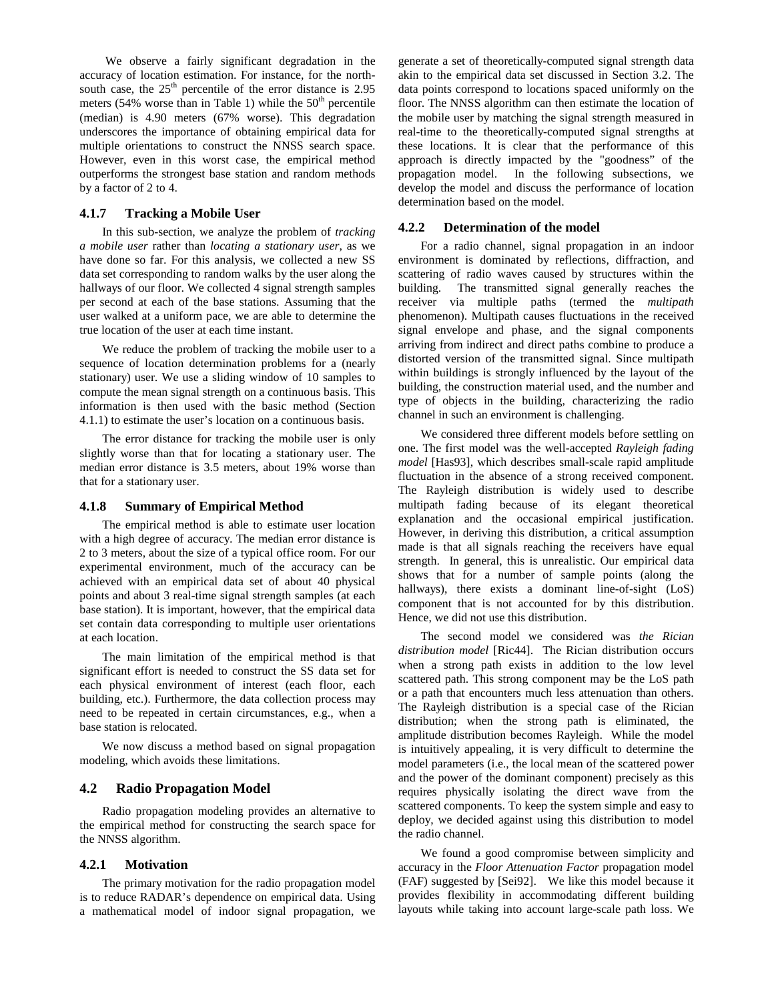We observe a fairly significant degradation in the accuracy of location estimation. For instance, for the northsouth case, the  $25<sup>th</sup>$  percentile of the error distance is 2.95 meters (54% worse than in Table 1) while the  $50<sup>th</sup>$  percentile (median) is 4.90 meters (67% worse). This degradation underscores the importance of obtaining empirical data for multiple orientations to construct the NNSS search space. However, even in this worst case, the empirical method outperforms the strongest base station and random methods by a factor of 2 to 4.

#### **4.1.7 Tracking a Mobile User**

In this sub-section, we analyze the problem of *tracking a mobile user* rather than *locating a stationary user*, as we have done so far. For this analysis, we collected a new SS data set corresponding to random walks by the user along the hallways of our floor. We collected 4 signal strength samples per second at each of the base stations. Assuming that the user walked at a uniform pace, we are able to determine the true location of the user at each time instant.

We reduce the problem of tracking the mobile user to a sequence of location determination problems for a (nearly stationary) user. We use a sliding window of 10 samples to compute the mean signal strength on a continuous basis. This information is then used with the basic method (Section 4.1.1) to estimate the user's location on a continuous basis.

The error distance for tracking the mobile user is only slightly worse than that for locating a stationary user. The median error distance is 3.5 meters, about 19% worse than that for a stationary user.

#### **4.1.8 Summary of Empirical Method**

The empirical method is able to estimate user location with a high degree of accuracy. The median error distance is 2 to 3 meters, about the size of a typical office room. For our experimental environment, much of the accuracy can be achieved with an empirical data set of about 40 physical points and about 3 real-time signal strength samples (at each base station). It is important, however, that the empirical data set contain data corresponding to multiple user orientations at each location.

The main limitation of the empirical method is that significant effort is needed to construct the SS data set for each physical environment of interest (each floor, each building, etc.). Furthermore, the data collection process may need to be repeated in certain circumstances, e.g., when a base station is relocated.

We now discuss a method based on signal propagation modeling, which avoids these limitations.

### **4.2 Radio Propagation Model**

Radio propagation modeling provides an alternative to the empirical method for constructing the search space for the NNSS algorithm.

#### **4.2.1 Motivation**

The primary motivation for the radio propagation model is to reduce RADAR's dependence on empirical data. Using a mathematical model of indoor signal propagation, we generate a set of theoretically-computed signal strength data akin to the empirical data set discussed in Section 3.2. The data points correspond to locations spaced uniformly on the floor. The NNSS algorithm can then estimate the location of the mobile user by matching the signal strength measured in real-time to the theoretically-computed signal strengths at these locations. It is clear that the performance of this approach is directly impacted by the "goodness" of the propagation model. In the following subsections, we develop the model and discuss the performance of location determination based on the model.

#### **4.2.2 Determination of the model**

For a radio channel, signal propagation in an indoor environment is dominated by reflections, diffraction, and scattering of radio waves caused by structures within the building. The transmitted signal generally reaches the receiver via multiple paths (termed the *multipath* phenomenon). Multipath causes fluctuations in the received signal envelope and phase, and the signal components arriving from indirect and direct paths combine to produce a distorted version of the transmitted signal. Since multipath within buildings is strongly influenced by the layout of the building, the construction material used, and the number and type of objects in the building, characterizing the radio channel in such an environment is challenging.

We considered three different models before settling on one. The first model was the well-accepted *Rayleigh fading model* [Has93], which describes small-scale rapid amplitude fluctuation in the absence of a strong received component. The Rayleigh distribution is widely used to describe multipath fading because of its elegant theoretical explanation and the occasional empirical justification. However, in deriving this distribution, a critical assumption made is that all signals reaching the receivers have equal strength. In general, this is unrealistic. Our empirical data shows that for a number of sample points (along the hallways), there exists a dominant line-of-sight (LoS) component that is not accounted for by this distribution. Hence, we did not use this distribution.

The second model we considered was *the Rician distribution model* [Ric44]. The Rician distribution occurs when a strong path exists in addition to the low level scattered path. This strong component may be the LoS path or a path that encounters much less attenuation than others. The Rayleigh distribution is a special case of the Rician distribution; when the strong path is eliminated, the amplitude distribution becomes Rayleigh. While the model is intuitively appealing, it is very difficult to determine the model parameters (i.e., the local mean of the scattered power and the power of the dominant component) precisely as this requires physically isolating the direct wave from the scattered components. To keep the system simple and easy to deploy, we decided against using this distribution to model the radio channel.

We found a good compromise between simplicity and accuracy in the *Floor Attenuation Factor* propagation model (FAF) suggested by [Sei92]. We like this model because it provides flexibility in accommodating different building layouts while taking into account large-scale path loss. We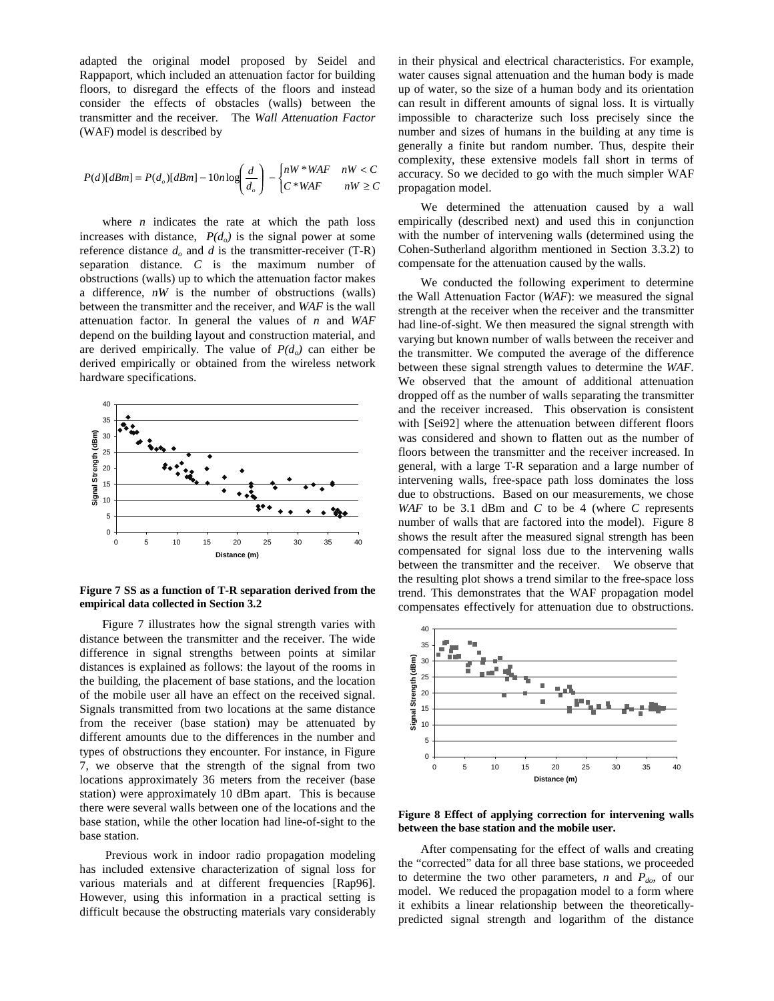adapted the original model proposed by Seidel and Rappaport, which included an attenuation factor for building floors, to disregard the effects of the floors and instead consider the effects of obstacles (walls) between the transmitter and the receiver. The *Wall Attenuation Factor* (WAF) model is described by

$$
P(d)[dBm] = P(d_o)[dBm] - 10n \log \left(\frac{d}{d_o}\right) - \begin{cases} nW * WAF & nW < C \\ C * WAF & nW \ge C \end{cases}
$$

where  $n$  indicates the rate at which the path loss increases with distance,  $P(d_o)$  is the signal power at some reference distance  $d<sub>o</sub>$  and  $d$  is the transmitter-receiver (T-R) separation distance. *C* is the maximum number of obstructions (walls) up to which the attenuation factor makes a difference, *nW* is the number of obstructions (walls) between the transmitter and the receiver, and *WAF* is the wall attenuation factor. In general the values of *n* and *WAF* depend on the building layout and construction material, and are derived empirically. The value of  $P(d_0)$  can either be derived empirically or obtained from the wireless network hardware specifications.



**Figure 7 SS as a function of T-R separation derived from the empirical data collected in Section 3.2**

Figure 7 illustrates how the signal strength varies with distance between the transmitter and the receiver. The wide difference in signal strengths between points at similar distances is explained as follows: the layout of the rooms in the building, the placement of base stations, and the location of the mobile user all have an effect on the received signal. Signals transmitted from two locations at the same distance from the receiver (base station) may be attenuated by different amounts due to the differences in the number and types of obstructions they encounter. For instance, in Figure 7, we observe that the strength of the signal from two locations approximately 36 meters from the receiver (base station) were approximately 10 dBm apart. This is because there were several walls between one of the locations and the base station, while the other location had line-of-sight to the base station.

 Previous work in indoor radio propagation modeling has included extensive characterization of signal loss for various materials and at different frequencies [Rap96]. However, using this information in a practical setting is difficult because the obstructing materials vary considerably in their physical and electrical characteristics. For example, water causes signal attenuation and the human body is made up of water, so the size of a human body and its orientation can result in different amounts of signal loss. It is virtually impossible to characterize such loss precisely since the number and sizes of humans in the building at any time is generally a finite but random number. Thus, despite their complexity, these extensive models fall short in terms of accuracy. So we decided to go with the much simpler WAF propagation model.

We determined the attenuation caused by a wall empirically (described next) and used this in conjunction with the number of intervening walls (determined using the Cohen-Sutherland algorithm mentioned in Section 3.3.2) to compensate for the attenuation caused by the walls.

We conducted the following experiment to determine the Wall Attenuation Factor (*WAF*): we measured the signal strength at the receiver when the receiver and the transmitter had line-of-sight. We then measured the signal strength with varying but known number of walls between the receiver and the transmitter. We computed the average of the difference between these signal strength values to determine the *WAF*. We observed that the amount of additional attenuation dropped off as the number of walls separating the transmitter and the receiver increased. This observation is consistent with [Sei92] where the attenuation between different floors was considered and shown to flatten out as the number of floors between the transmitter and the receiver increased. In general, with a large T-R separation and a large number of intervening walls, free-space path loss dominates the loss due to obstructions. Based on our measurements, we chose *WAF* to be 3.1 dBm and *C* to be 4 (where *C* represents number of walls that are factored into the model). Figure 8 shows the result after the measured signal strength has been compensated for signal loss due to the intervening walls between the transmitter and the receiver. We observe that the resulting plot shows a trend similar to the free-space loss trend. This demonstrates that the WAF propagation model compensates effectively for attenuation due to obstructions.



**Figure 8 Effect of applying correction for intervening walls between the base station and the mobile user.**

After compensating for the effect of walls and creating the "corrected" data for all three base stations, we proceeded to determine the two other parameters,  $n$  and  $P_{do}$ , of our model. We reduced the propagation model to a form where it exhibits a linear relationship between the theoreticallypredicted signal strength and logarithm of the distance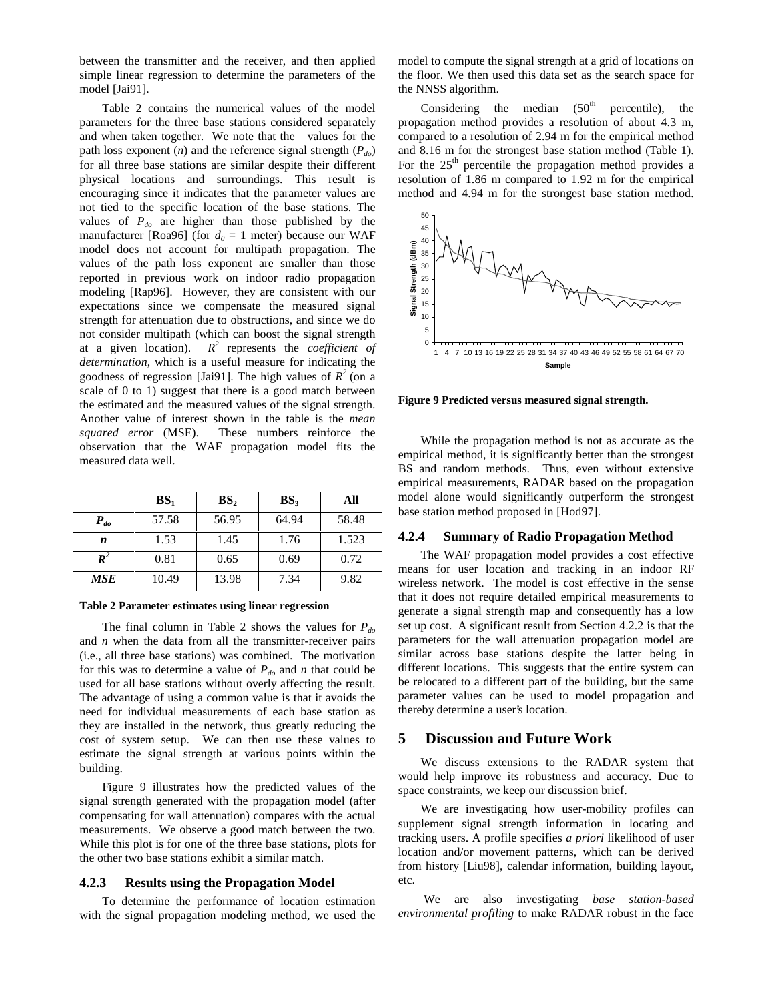between the transmitter and the receiver, and then applied simple linear regression to determine the parameters of the model [Jai91].

Table 2 contains the numerical values of the model parameters for the three base stations considered separately and when taken together. We note that the values for the path loss exponent  $(n)$  and the reference signal strength  $(P_{do})$ for all three base stations are similar despite their different physical locations and surroundings. This result is encouraging since it indicates that the parameter values are not tied to the specific location of the base stations. The values of *Pdo* are higher than those published by the manufacturer [Roa96] (for  $d_0 = 1$  meter) because our WAF model does not account for multipath propagation. The values of the path loss exponent are smaller than those reported in previous work on indoor radio propagation modeling [Rap96]. However, they are consistent with our expectations since we compensate the measured signal strength for attenuation due to obstructions, and since we do not consider multipath (which can boost the signal strength at a given location). *R2* represents the *coefficient of determination*, which is a useful measure for indicating the goodness of regression [Jai91]. The high values of  $R^2$  (on a scale of 0 to 1) suggest that there is a good match between the estimated and the measured values of the signal strength. Another value of interest shown in the table is the *mean squared error* (MSE). These numbers reinforce the observation that the WAF propagation model fits the measured data well.

|                    | BS <sub>1</sub> | BS,   | BS <sub>3</sub> | All   |
|--------------------|-----------------|-------|-----------------|-------|
| $P_{do}$           | 57.58           | 56.95 | 64.94           | 58.48 |
| n                  | 1.53            | 1.45  | 1.76            | 1.523 |
| $\boldsymbol{R}^2$ | 0.81            | 0.65  | 0.69            | 0.72  |
| MSE                | 10.49           | 13.98 | 7.34            | 9.82  |

#### **Table 2 Parameter estimates using linear regression**

The final column in Table 2 shows the values for  $P_{d\rho}$ and *n* when the data from all the transmitter-receiver pairs (i.e., all three base stations) was combined. The motivation for this was to determine a value of  $P_{d\rho}$  and *n* that could be used for all base stations without overly affecting the result. The advantage of using a common value is that it avoids the need for individual measurements of each base station as they are installed in the network, thus greatly reducing the cost of system setup. We can then use these values to estimate the signal strength at various points within the building.

Figure 9 illustrates how the predicted values of the signal strength generated with the propagation model (after compensating for wall attenuation) compares with the actual measurements. We observe a good match between the two. While this plot is for one of the three base stations, plots for the other two base stations exhibit a similar match.

#### **4.2.3 Results using the Propagation Model**

To determine the performance of location estimation with the signal propagation modeling method, we used the model to compute the signal strength at a grid of locations on the floor. We then used this data set as the search space for the NNSS algorithm.

Considering the median  $(50<sup>th</sup>$  percentile), the propagation method provides a resolution of about 4.3 m, compared to a resolution of 2.94 m for the empirical method and 8.16 m for the strongest base station method (Table 1). For the  $25<sup>th</sup>$  percentile the propagation method provides a resolution of 1.86 m compared to 1.92 m for the empirical method and 4.94 m for the strongest base station method.



**Figure 9 Predicted versus measured signal strength.**

While the propagation method is not as accurate as the empirical method, it is significantly better than the strongest BS and random methods. Thus, even without extensive empirical measurements, RADAR based on the propagation model alone would significantly outperform the strongest base station method proposed in [Hod97].

#### **4.2.4 Summary of Radio Propagation Method**

The WAF propagation model provides a cost effective means for user location and tracking in an indoor RF wireless network. The model is cost effective in the sense that it does not require detailed empirical measurements to generate a signal strength map and consequently has a low set up cost. A significant result from Section 4.2.2 is that the parameters for the wall attenuation propagation model are similar across base stations despite the latter being in different locations. This suggests that the entire system can be relocated to a different part of the building, but the same parameter values can be used to model propagation and thereby determine a user's location.

## **5 Discussion and Future Work**

We discuss extensions to the RADAR system that would help improve its robustness and accuracy. Due to space constraints, we keep our discussion brief.

We are investigating how user-mobility profiles can supplement signal strength information in locating and tracking users. A profile specifies *a priori* likelihood of user location and/or movement patterns, which can be derived from history [Liu98], calendar information, building layout, etc.

 We are also investigating *base station-based environmental profiling* to make RADAR robust in the face